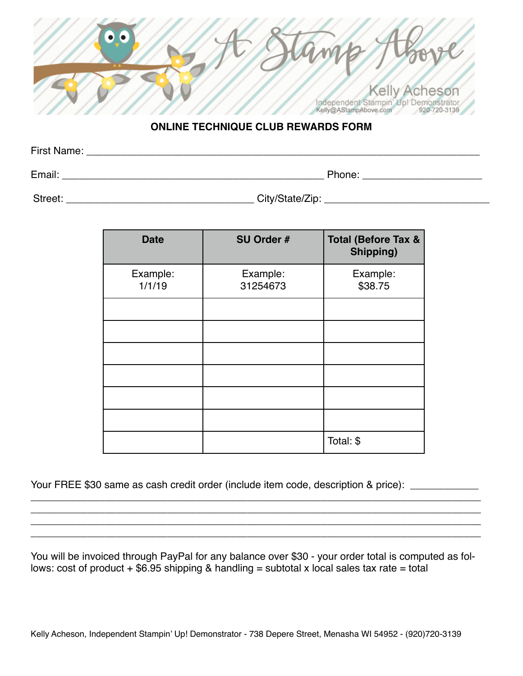| Independent Stampin' Up! Demonstrator<br>920-720-3139<br>Kelly@AStampAbove.com |  |
|--------------------------------------------------------------------------------|--|

## **ONLINE TECHNIQUE CLUB REWARDS FORM**

| First Name: |        |  |
|-------------|--------|--|
|             |        |  |
| Email:      | Phone: |  |

Street: \_\_\_\_\_\_\_\_\_\_\_\_\_\_\_\_\_\_\_\_\_\_\_\_\_\_\_\_\_\_\_\_\_ City/State/Zip: \_\_\_\_\_\_\_\_\_\_\_\_\_\_\_\_\_\_\_\_\_\_\_\_\_\_\_\_\_

| <b>Date</b>        | SU Order #           | <b>Total (Before Tax &amp;</b><br>Shipping) |
|--------------------|----------------------|---------------------------------------------|
| Example:<br>1/1/19 | Example:<br>31254673 | Example:<br>\$38.75                         |
|                    |                      |                                             |
|                    |                      |                                             |
|                    |                      |                                             |
|                    |                      |                                             |
|                    |                      |                                             |
|                    |                      |                                             |
|                    |                      | Total: \$                                   |

Your FREE \$30 same as cash credit order (include item code, description & price): \_\_\_\_\_\_\_\_\_\_\_

You will be invoiced through PayPal for any balance over \$30 - your order total is computed as follows: cost of product  $+$  \$6.95 shipping & handling = subtotal x local sales tax rate = total

\_\_\_\_\_\_\_\_\_\_\_\_\_\_\_\_\_\_\_\_\_\_\_\_\_\_\_\_\_\_\_\_\_\_\_\_\_\_\_\_\_\_\_\_\_\_\_\_\_\_\_\_\_\_\_\_\_\_\_\_\_\_\_\_\_\_\_\_\_\_\_\_\_\_\_\_\_\_\_ \_\_\_\_\_\_\_\_\_\_\_\_\_\_\_\_\_\_\_\_\_\_\_\_\_\_\_\_\_\_\_\_\_\_\_\_\_\_\_\_\_\_\_\_\_\_\_\_\_\_\_\_\_\_\_\_\_\_\_\_\_\_\_\_\_\_\_\_\_\_\_\_\_\_\_\_\_\_\_ \_\_\_\_\_\_\_\_\_\_\_\_\_\_\_\_\_\_\_\_\_\_\_\_\_\_\_\_\_\_\_\_\_\_\_\_\_\_\_\_\_\_\_\_\_\_\_\_\_\_\_\_\_\_\_\_\_\_\_\_\_\_\_\_\_\_\_\_\_\_\_\_\_\_\_\_\_\_\_ \_\_\_\_\_\_\_\_\_\_\_\_\_\_\_\_\_\_\_\_\_\_\_\_\_\_\_\_\_\_\_\_\_\_\_\_\_\_\_\_\_\_\_\_\_\_\_\_\_\_\_\_\_\_\_\_\_\_\_\_\_\_\_\_\_\_\_\_\_\_\_\_\_\_\_\_\_\_\_